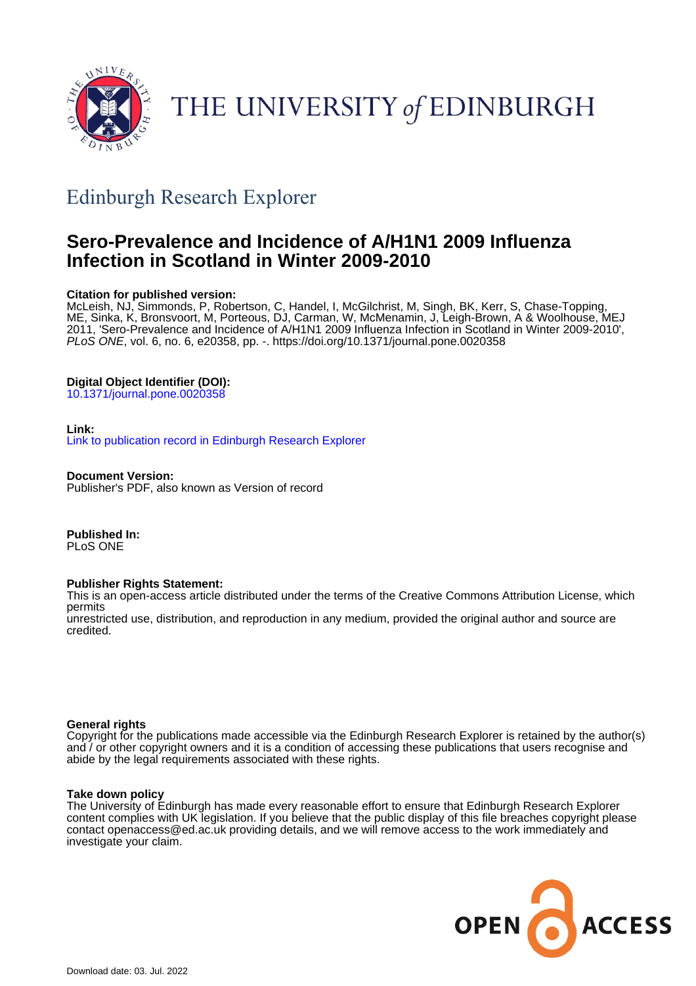

THE UNIVERSITY of EDINBURGH

# Edinburgh Research Explorer

# **Sero-Prevalence and Incidence of A/H1N1 2009 Influenza Infection in Scotland in Winter 2009-2010**

# **Citation for published version:**

McLeish, NJ, Simmonds, P, Robertson, C, Handel, I, McGilchrist, M, Singh, BK, Kerr, S, Chase-Topping, ME, Sinka, K, Bronsvoort, M, Porteous, DJ, Carman, W, McMenamin, J, Leigh-Brown, A & Woolhouse, MEJ 2011, 'Sero-Prevalence and Incidence of A/H1N1 2009 Influenza Infection in Scotland in Winter 2009-2010', PLoS ONE, vol. 6, no. 6, e20358, pp. -.<https://doi.org/10.1371/journal.pone.0020358>

# **Digital Object Identifier (DOI):**

[10.1371/journal.pone.0020358](https://doi.org/10.1371/journal.pone.0020358)

# **Link:**

[Link to publication record in Edinburgh Research Explorer](https://www.research.ed.ac.uk/en/publications/c79bf0ae-7ffc-4c00-bf39-990ba34c43b1)

**Document Version:** Publisher's PDF, also known as Version of record

**Published In:** PLoS ONE

# **Publisher Rights Statement:**

This is an open-access article distributed under the terms of the Creative Commons Attribution License, which permits

unrestricted use, distribution, and reproduction in any medium, provided the original author and source are credited.

# **General rights**

Copyright for the publications made accessible via the Edinburgh Research Explorer is retained by the author(s) and / or other copyright owners and it is a condition of accessing these publications that users recognise and abide by the legal requirements associated with these rights.

# **Take down policy**

The University of Edinburgh has made every reasonable effort to ensure that Edinburgh Research Explorer content complies with UK legislation. If you believe that the public display of this file breaches copyright please contact openaccess@ed.ac.uk providing details, and we will remove access to the work immediately and investigate your claim.

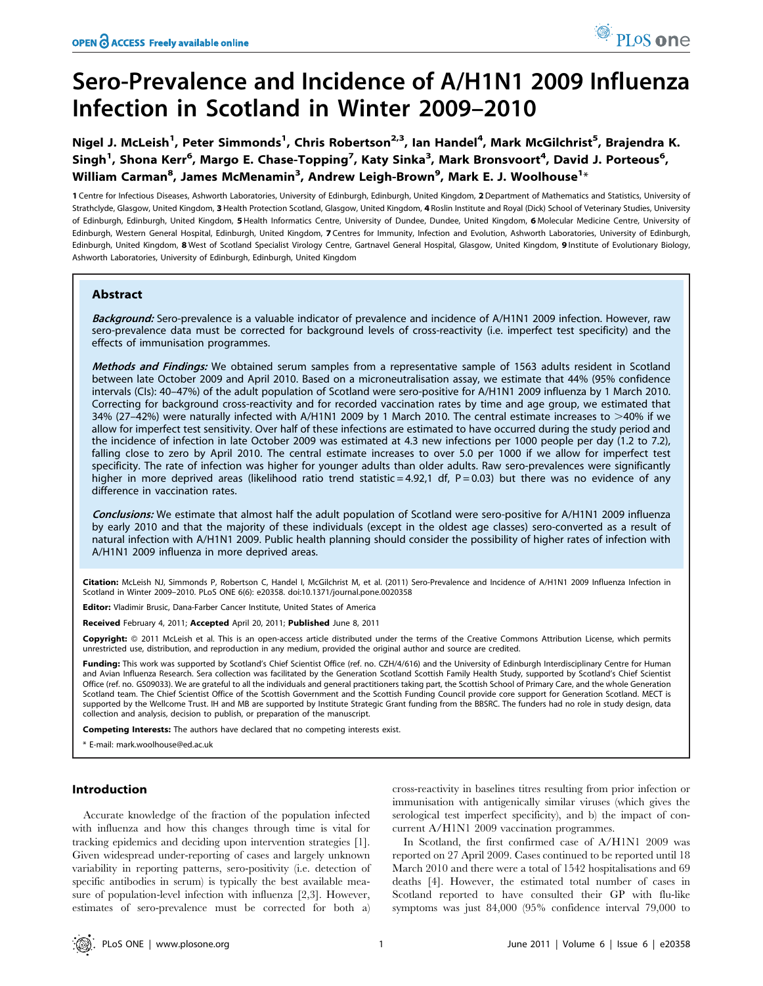# Sero-Prevalence and Incidence of A/H1N1 2009 Influenza Infection in Scotland in Winter 2009–2010

Nigel J. McLeish<sup>1</sup>, Peter Simmonds<sup>1</sup>, Chris Robertson<sup>2,3</sup>, Ian Handel<sup>4</sup>, Mark McGilchrist<sup>5</sup>, Brajendra K. Singh<sup>1</sup>, Shona Kerr<sup>6</sup>, Margo E. Chase-Topping<sup>7</sup>, Katy Sinka<sup>3</sup>, Mark Bronsvoort<sup>4</sup>, David J. Porteous<sup>6</sup>, William Carman<sup>8</sup>, James McMenamin<sup>3</sup>, Andrew Leigh-Brown<sup>9</sup>, Mark E. J. Woolhouse<sup>1</sup>\*

1 Centre for Infectious Diseases, Ashworth Laboratories, University of Edinburgh, Edinburgh, United Kingdom, 2Department of Mathematics and Statistics, University of Strathclyde, Glasgow, United Kingdom, 3 Health Protection Scotland, Glasgow, United Kingdom, 4 Roslin Institute and Royal (Dick) School of Veterinary Studies, University of Edinburgh, Edinburgh, United Kingdom, 5Health Informatics Centre, University of Dundee, Dundee, United Kingdom, 6 Molecular Medicine Centre, University of Edinburgh, Western General Hospital, Edinburgh, United Kingdom, 7 Centres for Immunity, Infection and Evolution, Ashworth Laboratories, University of Edinburgh, Edinburgh, United Kingdom, 8 West of Scotland Specialist Virology Centre, Gartnavel General Hospital, Glasgow, United Kingdom, 9 Institute of Evolutionary Biology, Ashworth Laboratories, University of Edinburgh, Edinburgh, United Kingdom

# Abstract

Background: Sero-prevalence is a valuable indicator of prevalence and incidence of A/H1N1 2009 infection. However, raw sero-prevalence data must be corrected for background levels of cross-reactivity (i.e. imperfect test specificity) and the effects of immunisation programmes.

Methods and Findings: We obtained serum samples from a representative sample of 1563 adults resident in Scotland between late October 2009 and April 2010. Based on a microneutralisation assay, we estimate that 44% (95% confidence intervals (CIs): 40–47%) of the adult population of Scotland were sero-positive for A/H1N1 2009 influenza by 1 March 2010. Correcting for background cross-reactivity and for recorded vaccination rates by time and age group, we estimated that 34% (27–42%) were naturally infected with A/H1N1 2009 by 1 March 2010. The central estimate increases to  $>$ 40% if we allow for imperfect test sensitivity. Over half of these infections are estimated to have occurred during the study period and the incidence of infection in late October 2009 was estimated at 4.3 new infections per 1000 people per day (1.2 to 7.2), falling close to zero by April 2010. The central estimate increases to over 5.0 per 1000 if we allow for imperfect test specificity. The rate of infection was higher for younger adults than older adults. Raw sero-prevalences were significantly higher in more deprived areas (likelihood ratio trend statistic = 4.92,1 df,  $P = 0.03$ ) but there was no evidence of any difference in vaccination rates.

Conclusions: We estimate that almost half the adult population of Scotland were sero-positive for A/H1N1 2009 influenza by early 2010 and that the majority of these individuals (except in the oldest age classes) sero-converted as a result of natural infection with A/H1N1 2009. Public health planning should consider the possibility of higher rates of infection with A/H1N1 2009 influenza in more deprived areas.

Citation: McLeish NJ, Simmonds P, Robertson C, Handel I, McGilchrist M, et al. (2011) Sero-Prevalence and Incidence of A/H1N1 2009 Influenza Infection in Scotland in Winter 2009–2010. PLoS ONE 6(6): e20358. doi:10.1371/journal.pone.0020358

Editor: Vladimir Brusic, Dana-Farber Cancer Institute, United States of America

Received February 4, 2011; Accepted April 20, 2011; Published June 8, 2011

**Copyright:** © 2011 McLeish et al. This is an open-access article distributed under the terms of the Creative Commons Attribution License, which permits unrestricted use, distribution, and reproduction in any medium, provided the original author and source are credited.

Funding: This work was supported by Scotland's Chief Scientist Office (ref. no. CZH/4/616) and the University of Edinburgh Interdisciplinary Centre for Human and Avian Influenza Research. Sera collection was facilitated by the Generation Scotland Scottish Family Health Study, supported by Scotland's Chief Scientist Office (ref. no. GS09033). We are grateful to all the individuals and general practitioners taking part, the Scottish School of Primary Care, and the whole Generation Scotland team. The Chief Scientist Office of the Scottish Government and the Scottish Funding Council provide core support for Generation Scotland. MECT is supported by the Wellcome Trust. IH and MB are supported by Institute Strategic Grant funding from the BBSRC. The funders had no role in study design, data collection and analysis, decision to publish, or preparation of the manuscript.

Competing Interests: The authors have declared that no competing interests exist.

\* E-mail: mark.woolhouse@ed.ac.uk

# Introduction

Accurate knowledge of the fraction of the population infected with influenza and how this changes through time is vital for tracking epidemics and deciding upon intervention strategies [1]. Given widespread under-reporting of cases and largely unknown variability in reporting patterns, sero-positivity (i.e. detection of specific antibodies in serum) is typically the best available measure of population-level infection with influenza [2,3]. However, estimates of sero-prevalence must be corrected for both a)

cross-reactivity in baselines titres resulting from prior infection or immunisation with antigenically similar viruses (which gives the serological test imperfect specificity), and b) the impact of concurrent A/H1N1 2009 vaccination programmes.

In Scotland, the first confirmed case of A/H1N1 2009 was reported on 27 April 2009. Cases continued to be reported until 18 March 2010 and there were a total of 1542 hospitalisations and 69 deaths [4]. However, the estimated total number of cases in Scotland reported to have consulted their GP with flu-like symptoms was just 84,000 (95% confidence interval 79,000 to

PLoS one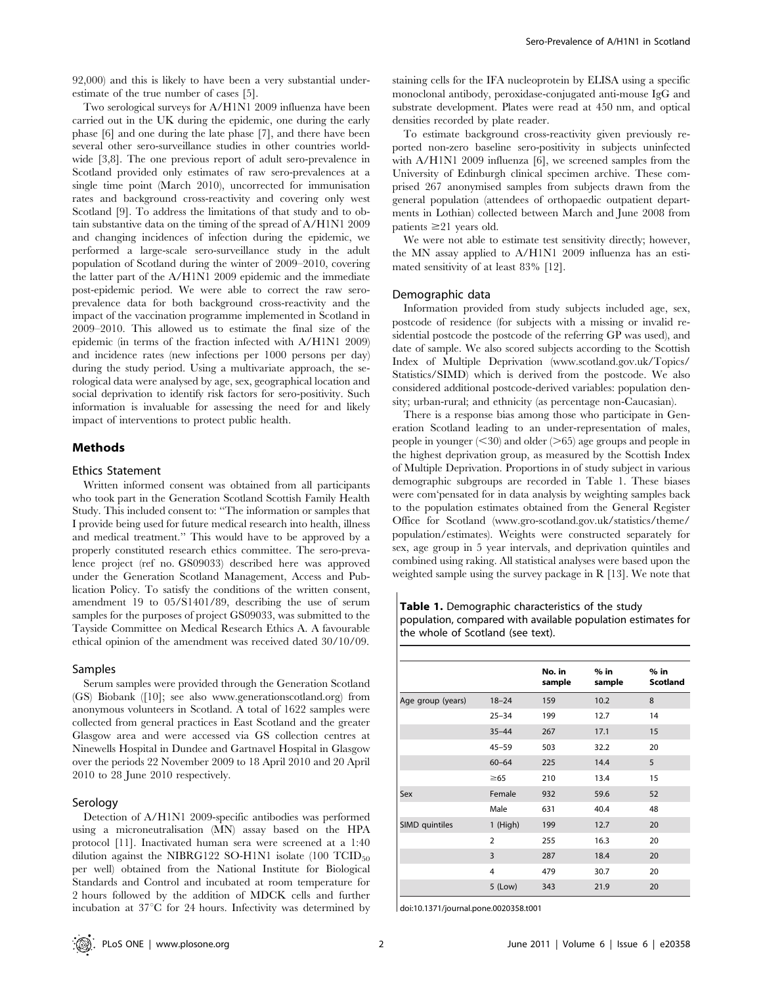92,000) and this is likely to have been a very substantial underestimate of the true number of cases [5].

Two serological surveys for A/H1N1 2009 influenza have been carried out in the UK during the epidemic, one during the early phase [6] and one during the late phase [7], and there have been several other sero-surveillance studies in other countries worldwide [3,8]. The one previous report of adult sero-prevalence in Scotland provided only estimates of raw sero-prevalences at a single time point (March 2010), uncorrected for immunisation rates and background cross-reactivity and covering only west Scotland [9]. To address the limitations of that study and to obtain substantive data on the timing of the spread of A/H1N1 2009 and changing incidences of infection during the epidemic, we performed a large-scale sero-surveillance study in the adult population of Scotland during the winter of 2009–2010, covering the latter part of the A/H1N1 2009 epidemic and the immediate post-epidemic period. We were able to correct the raw seroprevalence data for both background cross-reactivity and the impact of the vaccination programme implemented in Scotland in 2009–2010. This allowed us to estimate the final size of the epidemic (in terms of the fraction infected with A/H1N1 2009) and incidence rates (new infections per 1000 persons per day) during the study period. Using a multivariate approach, the serological data were analysed by age, sex, geographical location and social deprivation to identify risk factors for sero-positivity. Such information is invaluable for assessing the need for and likely impact of interventions to protect public health.

# Methods

# Ethics Statement

Written informed consent was obtained from all participants who took part in the Generation Scotland Scottish Family Health Study. This included consent to: ''The information or samples that I provide being used for future medical research into health, illness and medical treatment.'' This would have to be approved by a properly constituted research ethics committee. The sero-prevalence project (ref no. GS09033) described here was approved under the Generation Scotland Management, Access and Publication Policy. To satisfy the conditions of the written consent, amendment 19 to 05/S1401/89, describing the use of serum samples for the purposes of project GS09033, was submitted to the Tayside Committee on Medical Research Ethics A. A favourable ethical opinion of the amendment was received dated 30/10/09.

## Samples

Serum samples were provided through the Generation Scotland (GS) Biobank ([10]; see also www.generationscotland.org) from anonymous volunteers in Scotland. A total of 1622 samples were collected from general practices in East Scotland and the greater Glasgow area and were accessed via GS collection centres at Ninewells Hospital in Dundee and Gartnavel Hospital in Glasgow over the periods 22 November 2009 to 18 April 2010 and 20 April 2010 to 28 June 2010 respectively.

# Serology

Detection of A/H1N1 2009-specific antibodies was performed using a microneutralisation (MN) assay based on the HPA protocol [11]. Inactivated human sera were screened at a 1:40 dilution against the NIBRG122 SO-H1N1 isolate (100 TCID $_{50}$ per well) obtained from the National Institute for Biological Standards and Control and incubated at room temperature for 2 hours followed by the addition of MDCK cells and further incubation at  $37^{\circ}$ C for 24 hours. Infectivity was determined by staining cells for the IFA nucleoprotein by ELISA using a specific monoclonal antibody, peroxidase-conjugated anti-mouse IgG and substrate development. Plates were read at 450 nm, and optical densities recorded by plate reader.

To estimate background cross-reactivity given previously reported non-zero baseline sero-positivity in subjects uninfected with A/H1N1 2009 influenza [6], we screened samples from the University of Edinburgh clinical specimen archive. These comprised 267 anonymised samples from subjects drawn from the general population (attendees of orthopaedic outpatient departments in Lothian) collected between March and June 2008 from patients  $\geq 21$  years old.

We were not able to estimate test sensitivity directly; however, the MN assay applied to A/H1N1 2009 influenza has an estimated sensitivity of at least 83% [12].

## Demographic data

Information provided from study subjects included age, sex, postcode of residence (for subjects with a missing or invalid residential postcode the postcode of the referring GP was used), and date of sample. We also scored subjects according to the Scottish Index of Multiple Deprivation (www.scotland.gov.uk/Topics/ Statistics/SIMD) which is derived from the postcode. We also considered additional postcode-derived variables: population density; urban-rural; and ethnicity (as percentage non-Caucasian).

There is a response bias among those who participate in Generation Scotland leading to an under-representation of males, people in younger  $(< 30$ ) and older  $(> 65)$  age groups and people in the highest deprivation group, as measured by the Scottish Index of Multiple Deprivation. Proportions in of study subject in various demographic subgroups are recorded in Table 1. These biases were com'pensated for in data analysis by weighting samples back to the population estimates obtained from the General Register Office for Scotland (www.gro-scotland.gov.uk/statistics/theme/ population/estimates). Weights were constructed separately for sex, age group in 5 year intervals, and deprivation quintiles and combined using raking. All statistical analyses were based upon the weighted sample using the survey package in R [13]. We note that

Table 1. Demographic characteristics of the study population, compared with available population estimates for the whole of Scotland (see text).

|                   |                | No. in<br>sample | $%$ in<br>sample | $%$ in<br><b>Scotland</b> |
|-------------------|----------------|------------------|------------------|---------------------------|
| Age group (years) | $18 - 24$      | 159              | 10.2             | 8                         |
|                   | $25 - 34$      | 199              | 12.7             | 14                        |
|                   | $35 - 44$      | 267              | 17.1             | 15                        |
|                   | $45 - 59$      | 503              | 32.2             | 20                        |
|                   | $60 - 64$      | 225              | 14.4             | 5                         |
|                   | $\geq 65$      | 210              | 13.4             | 15                        |
| Sex               | Female         | 932              | 59.6             | 52                        |
|                   | Male           | 631              | 40.4             | 48                        |
| SIMD quintiles    | $1$ (High)     | 199              | 12.7             | 20                        |
|                   | $\overline{2}$ | 255              | 16.3             | 20                        |
|                   | 3              | 287              | 18.4             | 20                        |
|                   | 4              | 479              | 30.7             | 20                        |
|                   | $5$ (Low)      | 343              | 21.9             | 20                        |

doi:10.1371/journal.pone.0020358.t001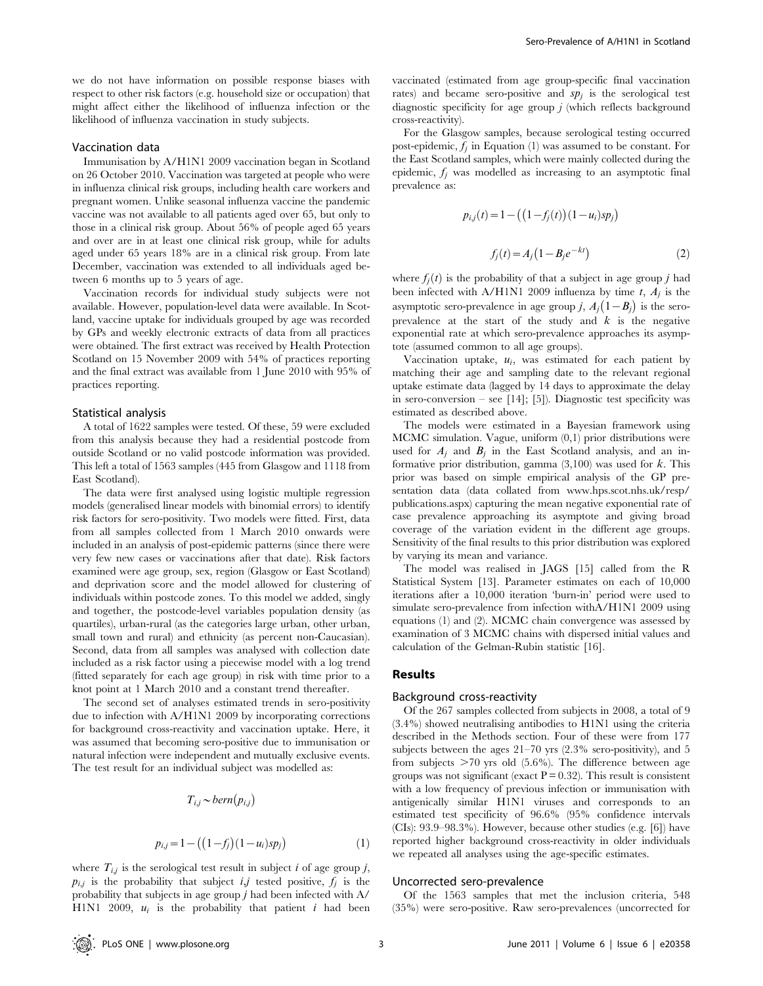we do not have information on possible response biases with respect to other risk factors (e.g. household size or occupation) that might affect either the likelihood of influenza infection or the likelihood of influenza vaccination in study subjects.

# Vaccination data

Immunisation by A/H1N1 2009 vaccination began in Scotland on 26 October 2010. Vaccination was targeted at people who were in influenza clinical risk groups, including health care workers and pregnant women. Unlike seasonal influenza vaccine the pandemic vaccine was not available to all patients aged over 65, but only to those in a clinical risk group. About 56% of people aged 65 years and over are in at least one clinical risk group, while for adults aged under 65 years 18% are in a clinical risk group. From late December, vaccination was extended to all individuals aged between 6 months up to 5 years of age.

Vaccination records for individual study subjects were not available. However, population-level data were available. In Scotland, vaccine uptake for individuals grouped by age was recorded by GPs and weekly electronic extracts of data from all practices were obtained. The first extract was received by Health Protection Scotland on 15 November 2009 with 54% of practices reporting and the final extract was available from 1 June 2010 with 95% of practices reporting.

#### Statistical analysis

A total of 1622 samples were tested. Of these, 59 were excluded from this analysis because they had a residential postcode from outside Scotland or no valid postcode information was provided. This left a total of 1563 samples (445 from Glasgow and 1118 from East Scotland).

The data were first analysed using logistic multiple regression models (generalised linear models with binomial errors) to identify risk factors for sero-positivity. Two models were fitted. First, data from all samples collected from 1 March 2010 onwards were included in an analysis of post-epidemic patterns (since there were very few new cases or vaccinations after that date). Risk factors examined were age group, sex, region (Glasgow or East Scotland) and deprivation score and the model allowed for clustering of individuals within postcode zones. To this model we added, singly and together, the postcode-level variables population density (as quartiles), urban-rural (as the categories large urban, other urban, small town and rural) and ethnicity (as percent non-Caucasian). Second, data from all samples was analysed with collection date included as a risk factor using a piecewise model with a log trend (fitted separately for each age group) in risk with time prior to a knot point at 1 March 2010 and a constant trend thereafter.

The second set of analyses estimated trends in sero-positivity due to infection with A/H1N1 2009 by incorporating corrections for background cross-reactivity and vaccination uptake. Here, it was assumed that becoming sero-positive due to immunisation or natural infection were independent and mutually exclusive events. The test result for an individual subject was modelled as:

$$
T_{i,j} \sim bern(p_{i,j})
$$

$$
p_{i,j} = 1 - ((1 - f_j)(1 - u_i)sp_j)
$$
 (1)

where  $T_{i,j}$  is the serological test result in subject i of age group j,  $p_{i,j}$  is the probability that subject  $i,j$  tested positive,  $f_j$  is the probability that subjects in age group  $j$  had been infected with  $A/$ H1N1 2009,  $u_i$  is the probability that patient *i* had been vaccinated (estimated from age group-specific final vaccination rates) and became sero-positive and  $sp<sub>i</sub>$  is the serological test diagnostic specificity for age group  $j$  (which reflects background cross-reactivity).

For the Glasgow samples, because serological testing occurred post-epidemic,  $f_i$  in Equation (1) was assumed to be constant. For the East Scotland samples, which were mainly collected during the epidemic,  $f_i$  was modelled as increasing to an asymptotic final prevalence as:

$$
p_{i,j}(t) = 1 - ((1 - f_j(t))(1 - u_i)sp_j)
$$
  

$$
f_j(t) = A_j(1 - B_je^{-kt})
$$
 (2)

where  $f_i(t)$  is the probability of that a subject in age group j had been infected with A/H1N1 2009 influenza by time  $t$ ,  $A_j$  is the asymptotic sero-prevalence in age group j,  $A_j(1-B_j)$  is the seroprevalence at the start of the study and  $k$  is the negative exponential rate at which sero-prevalence approaches its asymptote (assumed common to all age groups).

Vaccination uptake,  $u_i$ , was estimated for each patient by matching their age and sampling date to the relevant regional uptake estimate data (lagged by 14 days to approximate the delay in sero-conversion – see [14]; [5]). Diagnostic test specificity was estimated as described above.

The models were estimated in a Bayesian framework using MCMC simulation. Vague, uniform (0,1) prior distributions were used for  $A_i$  and  $B_i$  in the East Scotland analysis, and an informative prior distribution, gamma  $(3,100)$  was used for  $k$ . This prior was based on simple empirical analysis of the GP presentation data (data collated from www.hps.scot.nhs.uk/resp/ publications.aspx) capturing the mean negative exponential rate of case prevalence approaching its asymptote and giving broad coverage of the variation evident in the different age groups. Sensitivity of the final results to this prior distribution was explored by varying its mean and variance.

The model was realised in JAGS [15] called from the R Statistical System [13]. Parameter estimates on each of 10,000 iterations after a 10,000 iteration 'burn-in' period were used to simulate sero-prevalence from infection withA/H1N1 2009 using equations (1) and (2). MCMC chain convergence was assessed by examination of 3 MCMC chains with dispersed initial values and calculation of the Gelman-Rubin statistic [16].

# Results

#### Background cross-reactivity

Of the 267 samples collected from subjects in 2008, a total of 9 (3.4%) showed neutralising antibodies to H1N1 using the criteria described in the Methods section. Four of these were from 177 subjects between the ages 21–70 yrs (2.3% sero-positivity), and 5 from subjects  $>70$  yrs old (5.6%). The difference between age groups was not significant (exact  $P = 0.32$ ). This result is consistent with a low frequency of previous infection or immunisation with antigenically similar H1N1 viruses and corresponds to an estimated test specificity of 96.6% (95% confidence intervals (CIs): 93.9–98.3%). However, because other studies (e.g. [6]) have reported higher background cross-reactivity in older individuals we repeated all analyses using the age-specific estimates.

#### Uncorrected sero-prevalence

Of the 1563 samples that met the inclusion criteria, 548 (35%) were sero-positive. Raw sero-prevalences (uncorrected for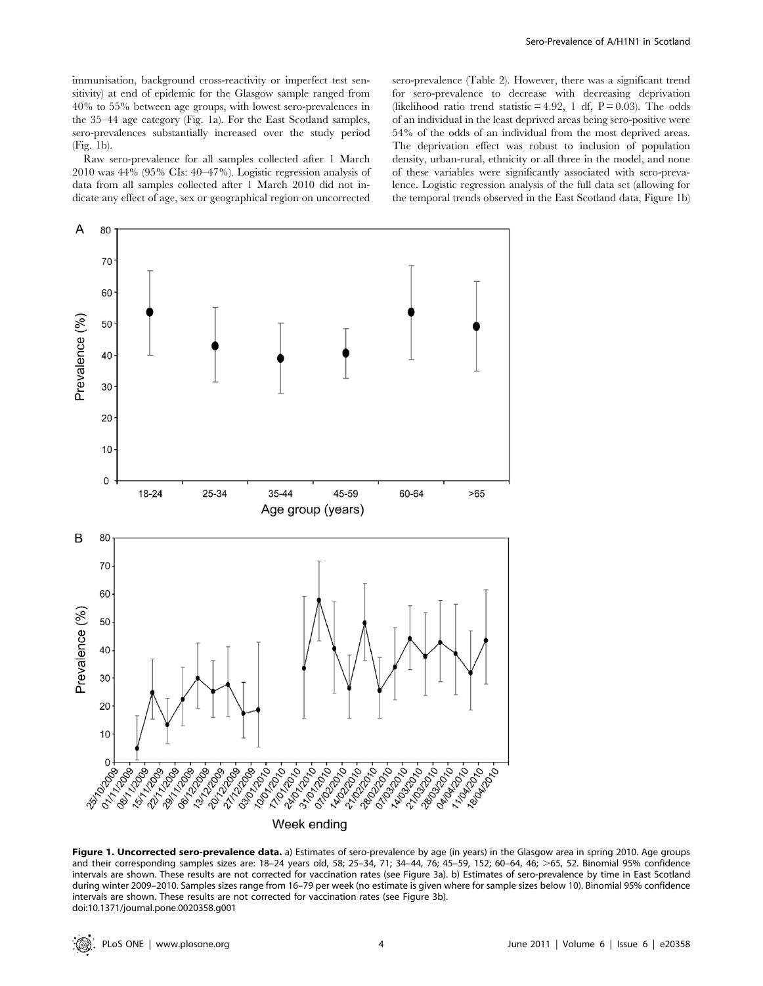immunisation, background cross-reactivity or imperfect test sensitivity) at end of epidemic for the Glasgow sample ranged from 40% to 55% between age groups, with lowest sero-prevalences in the 35–44 age category (Fig. 1a). For the East Scotland samples, sero-prevalences substantially increased over the study period (Fig. 1b).

Raw sero-prevalence for all samples collected after 1 March 2010 was 44% (95% CIs: 40–47%). Logistic regression analysis of data from all samples collected after 1 March 2010 did not indicate any effect of age, sex or geographical region on uncorrected sero-prevalence (Table 2). However, there was a significant trend for sero-prevalence to decrease with decreasing deprivation (likelihood ratio trend statistic  $= 4.92$ , 1 df,  $P = 0.03$ ). The odds of an individual in the least deprived areas being sero-positive were 54% of the odds of an individual from the most deprived areas. The deprivation effect was robust to inclusion of population density, urban-rural, ethnicity or all three in the model, and none of these variables were significantly associated with sero-prevalence. Logistic regression analysis of the full data set (allowing for the temporal trends observed in the East Scotland data, Figure 1b)



Figure 1. Uncorrected sero-prevalence data. a) Estimates of sero-prevalence by age (in years) in the Glasgow area in spring 2010. Age groups and their corresponding samples sizes are: 18-24 years old, 58; 25-34, 71; 34-44, 76; 45-59, 152; 60-64, 46; >65, 52. Binomial 95% confidence intervals are shown. These results are not corrected for vaccination rates (see Figure 3a). b) Estimates of sero-prevalence by time in East Scotland during winter 2009–2010. Samples sizes range from 16–79 per week (no estimate is given where for sample sizes below 10). Binomial 95% confidence intervals are shown. These results are not corrected for vaccination rates (see Figure 3b). doi:10.1371/journal.pone.0020358.g001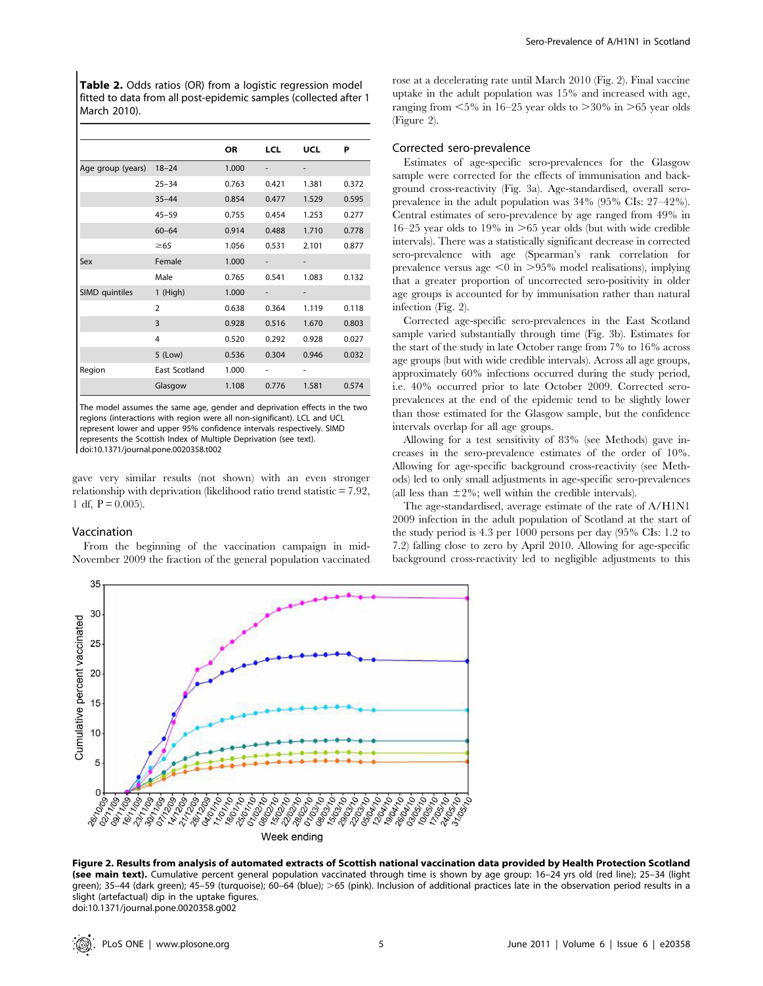Table 2. Odds ratios (OR) from a logistic regression model fitted to data from all post-epidemic samples (collected after 1 March 2010).

|                   |                | <b>OR</b> | <b>LCL</b> | <b>UCL</b>                   | P     |
|-------------------|----------------|-----------|------------|------------------------------|-------|
| Age group (years) | $18 - 24$      | 1.000     |            | $\qquad \qquad \blacksquare$ |       |
|                   | $25 - 34$      | 0.763     | 0.421      | 1.381                        | 0.372 |
|                   | $35 - 44$      | 0.854     | 0.477      | 1.529                        | 0.595 |
|                   | $45 - 59$      | 0.755     | 0.454      | 1.253                        | 0.277 |
|                   | $60 - 64$      | 0.914     | 0.488      | 1.710                        | 0.778 |
|                   | $\geq 65$      | 1.056     | 0.531      | 2.101                        | 0.877 |
| Sex               | Female         | 1.000     |            |                              |       |
|                   | Male           | 0.765     | 0.541      | 1.083                        | 0.132 |
| SIMD quintiles    | 1 (High)       | 1.000     |            | -                            |       |
|                   | $\overline{2}$ | 0.638     | 0.364      | 1.119                        | 0.118 |
|                   | 3              | 0.928     | 0.516      | 1.670                        | 0.803 |
|                   | 4              | 0.520     | 0.292      | 0.928                        | 0.027 |
|                   | 5 (Low)        | 0.536     | 0.304      | 0.946                        | 0.032 |
| Region            | East Scotland  | 1.000     |            |                              |       |
|                   | Glasgow        | 1.108     | 0.776      | 1.581                        | 0.574 |

The model assumes the same age, gender and deprivation effects in the two regions (interactions with region were all non-significant). LCL and UCL represent lower and upper 95% confidence intervals respectively. SIMD represents the Scottish Index of Multiple Deprivation (see text). doi:10.1371/journal.pone.0020358.t002

gave very similar results (not shown) with an even stronger relationship with deprivation (likelihood ratio trend statistic = 7.92, 1 df,  $P = 0.005$ ).

#### Vaccination

From the beginning of the vaccination campaign in mid-November 2009 the fraction of the general population vaccinated rose at a decelerating rate until March 2010 (Fig. 2). Final vaccine uptake in the adult population was 15% and increased with age, ranging from  $\leq 5\%$  in 16–25 year olds to  $>30\%$  in  $\geq 65$  year olds (Figure 2).

# Corrected sero-prevalence

Estimates of age-specific sero-prevalences for the Glasgow sample were corrected for the effects of immunisation and background cross-reactivity (Fig. 3a). Age-standardised, overall seroprevalence in the adult population was 34% (95% CIs: 27–42%). Central estimates of sero-prevalence by age ranged from 49% in 16–25 year olds to 19% in  $>65$  year olds (but with wide credible intervals). There was a statistically significant decrease in corrected sero-prevalence with age (Spearman's rank correlation for prevalence versus age  $\leq 0$  in  $>95\%$  model realisations), implying that a greater proportion of uncorrected sero-positivity in older age groups is accounted for by immunisation rather than natural infection (Fig. 2).

Corrected age-specific sero-prevalences in the East Scotland sample varied substantially through time (Fig. 3b). Estimates for the start of the study in late October range from 7% to 16% across age groups (but with wide credible intervals). Across all age groups, approximately 60% infections occurred during the study period, i.e. 40% occurred prior to late October 2009. Corrected seroprevalences at the end of the epidemic tend to be slightly lower than those estimated for the Glasgow sample, but the confidence intervals overlap for all age groups.

Allowing for a test sensitivity of 83% (see Methods) gave increases in the sero-prevalence estimates of the order of 10%. Allowing for age-specific background cross-reactivity (see Methods) led to only small adjustments in age-specific sero-prevalences (all less than  $\pm 2\%$ ; well within the credible intervals).

The age-standardised, average estimate of the rate of A/H1N1 2009 infection in the adult population of Scotland at the start of the study period is 4.3 per 1000 persons per day (95% CIs: 1.2 to 7.2) falling close to zero by April 2010. Allowing for age-specific background cross-reactivity led to negligible adjustments to this



Figure 2. Results from analysis of automated extracts of Scottish national vaccination data provided by Health Protection Scotland (see main text). Cumulative percent general population vaccinated through time is shown by age group: 16-24 yrs old (red line); 25-34 (light green); 35-44 (dark green); 45-59 (turquoise); 60-64 (blue); >65 (pink). Inclusion of additional practices late in the observation period results in a slight (artefactual) dip in the uptake figures. doi:10.1371/journal.pone.0020358.g002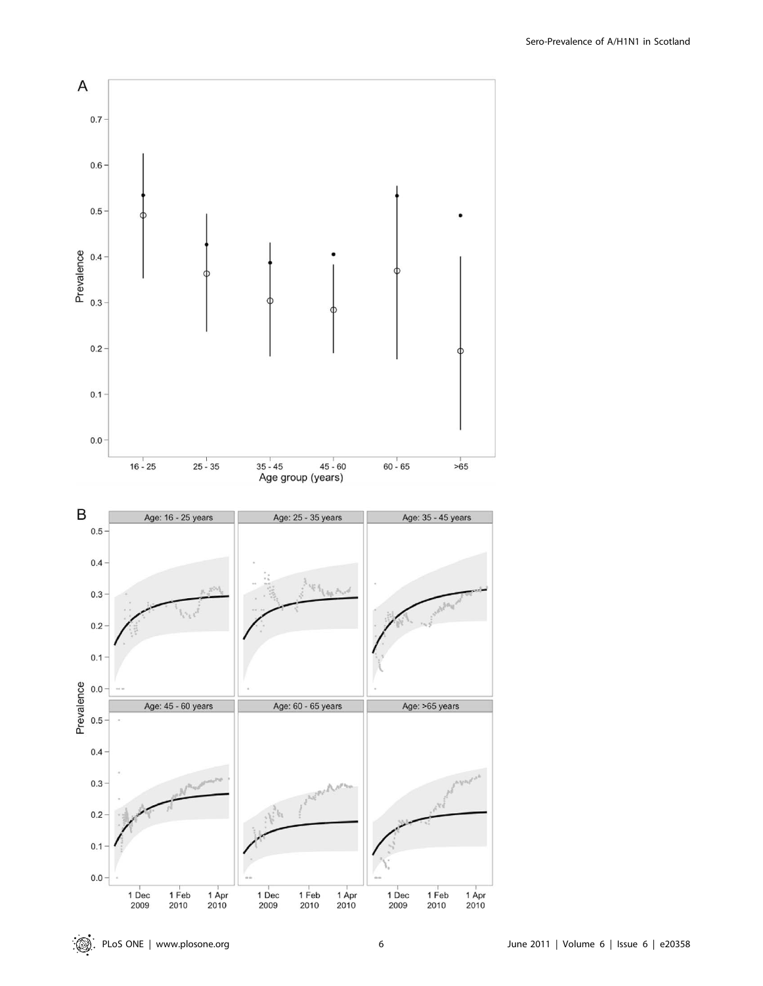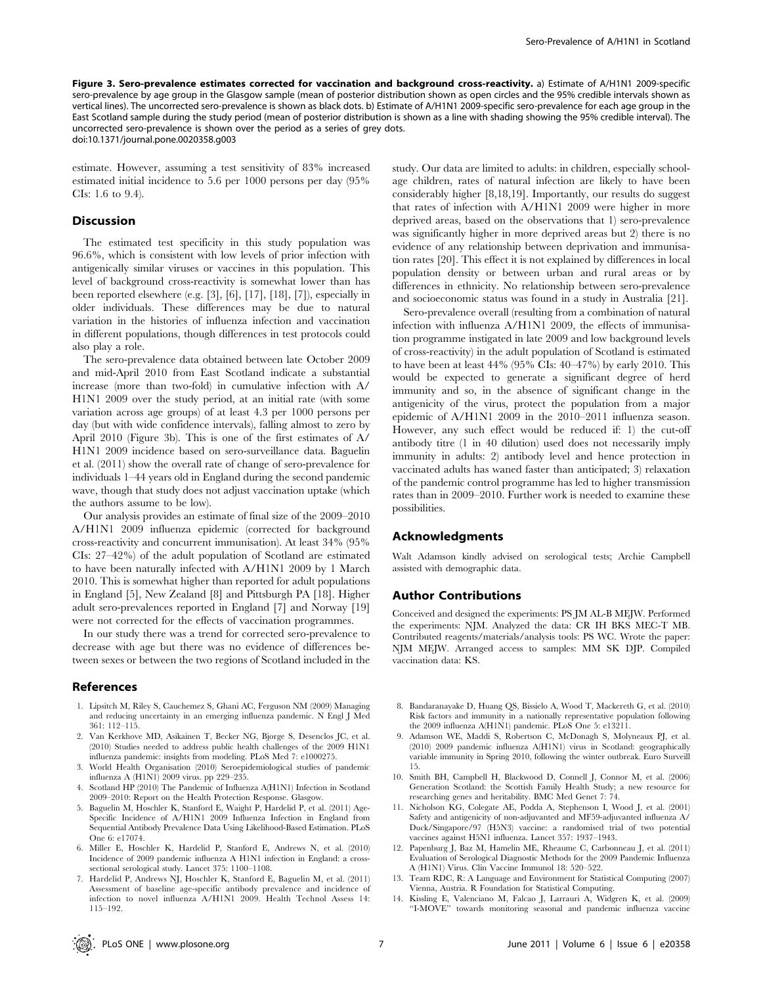Figure 3. Sero-prevalence estimates corrected for vaccination and background cross-reactivity. a) Estimate of A/H1N1 2009-specific sero-prevalence by age group in the Glasgow sample (mean of posterior distribution shown as open circles and the 95% credible intervals shown as vertical lines). The uncorrected sero-prevalence is shown as black dots. b) Estimate of A/H1N1 2009-specific sero-prevalence for each age group in the East Scotland sample during the study period (mean of posterior distribution is shown as a line with shading showing the 95% credible interval). The uncorrected sero-prevalence is shown over the period as a series of grey dots. doi:10.1371/journal.pone.0020358.g003

estimate. However, assuming a test sensitivity of 83% increased estimated initial incidence to 5.6 per 1000 persons per day (95% CIs: 1.6 to 9.4).

## Discussion

The estimated test specificity in this study population was 96.6%, which is consistent with low levels of prior infection with antigenically similar viruses or vaccines in this population. This level of background cross-reactivity is somewhat lower than has been reported elsewhere (e.g. [3], [6], [17], [18], [7]), especially in older individuals. These differences may be due to natural variation in the histories of influenza infection and vaccination in different populations, though differences in test protocols could also play a role.

The sero-prevalence data obtained between late October 2009 and mid-April 2010 from East Scotland indicate a substantial increase (more than two-fold) in cumulative infection with A/ H1N1 2009 over the study period, at an initial rate (with some variation across age groups) of at least 4.3 per 1000 persons per day (but with wide confidence intervals), falling almost to zero by April 2010 (Figure 3b). This is one of the first estimates of A/ H1N1 2009 incidence based on sero-surveillance data. Baguelin et al. (2011) show the overall rate of change of sero-prevalence for individuals 1–44 years old in England during the second pandemic wave, though that study does not adjust vaccination uptake (which the authors assume to be low).

Our analysis provides an estimate of final size of the 2009–2010 A/H1N1 2009 influenza epidemic (corrected for background cross-reactivity and concurrent immunisation). At least 34% (95% CIs: 27–42%) of the adult population of Scotland are estimated to have been naturally infected with A/H1N1 2009 by 1 March 2010. This is somewhat higher than reported for adult populations in England [5], New Zealand [8] and Pittsburgh PA [18]. Higher adult sero-prevalences reported in England [7] and Norway [19] were not corrected for the effects of vaccination programmes.

In our study there was a trend for corrected sero-prevalence to decrease with age but there was no evidence of differences between sexes or between the two regions of Scotland included in the

## References

- 1. Lipsitch M, Riley S, Cauchemez S, Ghani AC, Ferguson NM (2009) Managing and reducing uncertainty in an emerging influenza pandemic. N Engl J Med 361: 112–115.
- 2. Van Kerkhove MD, Asikainen T, Becker NG, Bjorge S, Desenclos JC, et al. (2010) Studies needed to address public health challenges of the 2009 H1N1 influenza pandemic: insights from modeling. PLoS Med 7: e1000275.
- 3. World Health Organisation (2010) Seroepidemiological studies of pandemic influenza A (H1N1) 2009 virus. pp 229–235.
- Scotland HP (2010) The Pandemic of Influenza A(H1N1) Infection in Scotland 2009–2010: Report on the Health Protection Response. Glasgow.
- 5. Baguelin M, Hoschler K, Stanford E, Waight P, Hardelid P, et al. (2011) Age-Specific Incidence of A/H1N1 2009 Influenza Infection in England from Sequential Antibody Prevalence Data Using Likelihood-Based Estimation. PLoS One 6: e17074.
- 6. Miller E, Hoschler K, Hardelid P, Stanford E, Andrews N, et al. (2010) Incidence of 2009 pandemic influenza A H1N1 infection in England: a crosssectional serological study. Lancet 375: 1100–1108.
- 7. Hardelid P, Andrews NJ, Hoschler K, Stanford E, Baguelin M, et al. (2011) Assessment of baseline age-specific antibody prevalence and incidence of infection to novel influenza A/H1N1 2009. Health Technol Assess 14: 115–192.

study. Our data are limited to adults: in children, especially schoolage children, rates of natural infection are likely to have been considerably higher [8,18,19]. Importantly, our results do suggest that rates of infection with A/H1N1 2009 were higher in more deprived areas, based on the observations that 1) sero-prevalence was significantly higher in more deprived areas but 2) there is no evidence of any relationship between deprivation and immunisation rates [20]. This effect it is not explained by differences in local population density or between urban and rural areas or by differences in ethnicity. No relationship between sero-prevalence and socioeconomic status was found in a study in Australia [21].

Sero-prevalence overall (resulting from a combination of natural infection with influenza A/H1N1 2009, the effects of immunisation programme instigated in late 2009 and low background levels of cross-reactivity) in the adult population of Scotland is estimated to have been at least 44% (95% CIs: 40–47%) by early 2010. This would be expected to generate a significant degree of herd immunity and so, in the absence of significant change in the antigenicity of the virus, protect the population from a major epidemic of A/H1N1 2009 in the 2010–2011 influenza season. However, any such effect would be reduced if: 1) the cut-off antibody titre (1 in 40 dilution) used does not necessarily imply immunity in adults: 2) antibody level and hence protection in vaccinated adults has waned faster than anticipated; 3) relaxation of the pandemic control programme has led to higher transmission rates than in 2009–2010. Further work is needed to examine these possibilities.

# Acknowledgments

Walt Adamson kindly advised on serological tests; Archie Campbell assisted with demographic data.

#### Author Contributions

Conceived and designed the experiments: PS JM AL-B MEJW. Performed the experiments: NJM. Analyzed the data: CR IH BKS MEC-T MB. Contributed reagents/materials/analysis tools: PS WC. Wrote the paper: NJM MEJW. Arranged access to samples: MM SK DJP. Compiled vaccination data: KS.

- 8. Bandaranayake D, Huang QS, Bissielo A, Wood T, Mackereth G, et al. (2010) Risk factors and immunity in a nationally representative population following the 2009 influenza A(H1N1) pandemic. PLoS One 5: e13211.
- 9. Adamson WE, Maddi S, Robertson C, McDonagh S, Molyneaux PJ, et al. (2010) 2009 pandemic influenza A(H1N1) virus in Scotland: geographically variable immunity in Spring 2010, following the winter outbreak. Euro Surveill 15.
- 10. Smith BH, Campbell H, Blackwood D, Connell J, Connor M, et al. (2006) Generation Scotland: the Scottish Family Health Study; a new resource for researching genes and heritability. BMC Med Genet 7: 74.
- 11. Nicholson KG, Colegate AE, Podda A, Stephenson I, Wood J, et al. (2001) Safety and antigenicity of non-adjuvanted and MF59-adjuvanted influenza A/ Duck/Singapore/97 (H5N3) vaccine: a randomised trial of two potential vaccines against H5N1 influenza. Lancet 357: 1937–1943.
- 12. Papenburg J, Baz M, Hamelin ME, Rheaume C, Carbonneau J, et al. (2011) Evaluation of Serological Diagnostic Methods for the 2009 Pandemic Influenza A (H1N1) Virus. Clin Vaccine Immunol 18: 520–522.
- 13. Team RDC, R: A Language and Environment for Statistical Computing (2007) Vienna, Austria. R Foundation for Statistical Computing.
- 14. Kissling E, Valenciano M, Falcao J, Larrauri A, Widgren K, et al. (2009) ''I-MOVE'' towards monitoring seasonal and pandemic influenza vaccine